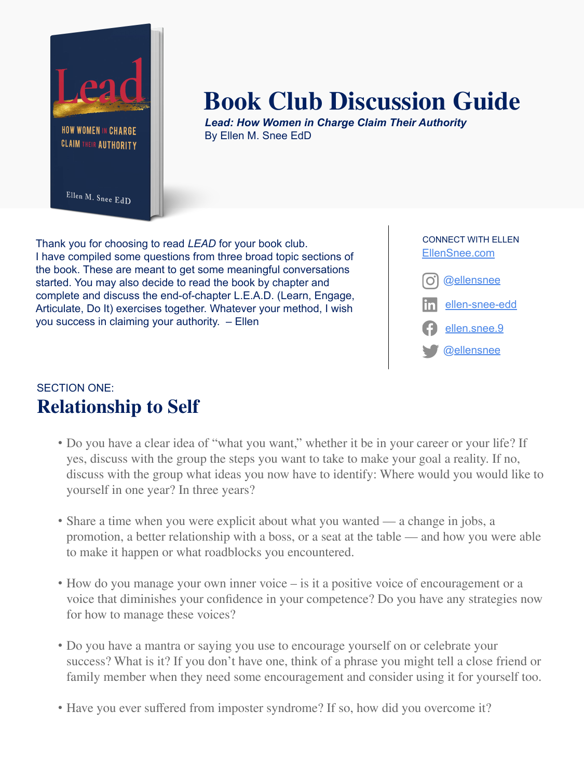

## **Book Club Discussion Guide**

*Lead: How Women in Charge Claim Their Authority* By Ellen M. Snee EdD

Thank you for choosing to read *LEAD* for your book club. I have compiled some questions from three broad topic sections of the book. These are meant to get some meaningful conversations started. You may also decide to read the book by chapter and complete and discuss the end-of-chapter L.E.A.D. (Learn, Engage, Articulate, Do It) exercises together. Whatever your method, I wish you success in claiming your authority. – Ellen



## SECTION ONE: **Relationship to Self**

- Do you have a clear idea of "what you want," whether it be in your career or your life? If yes, discuss with the group the steps you want to take to make your goal a reality. If no, discuss with the group what ideas you now have to identify: Where would you would like to yourself in one year? In three years?
- Share a time when you were explicit about what you wanted a change in jobs, a promotion, a better relationship with a boss, or a seat at the table — and how you were able to make it happen or what roadblocks you encountered.
- How do you manage your own inner voice is it a positive voice of encouragement or a voice that diminishes your confidence in your competence? Do you have any strategies now for how to manage these voices?
- Do you have a mantra or saying you use to encourage yourself on or celebrate your success? What is it? If you don't have one, think of a phrase you might tell a close friend or family member when they need some encouragement and consider using it for yourself too.
- Have you ever suffered from imposter syndrome? If so, how did you overcome it?